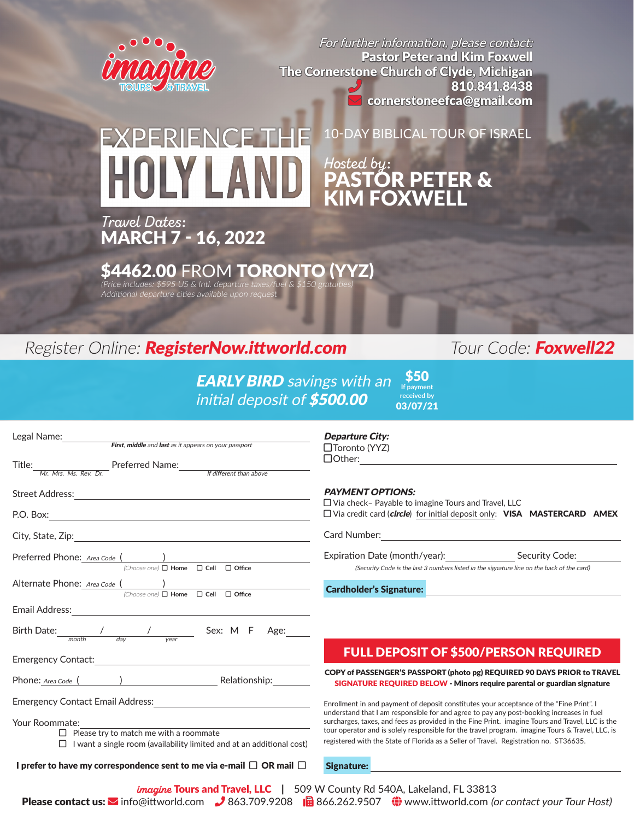

For further information, please contact: Pastor Peter and Kim Foxwell The Cornerstone Church of Clyde, Michigan 810.841.8438 cornerstoneefca@gmail.com

# 10-DAY BIBLICAL TOUR OF ISRAEL **FXPERIENCET** *Hosted by*: **TÖR PETER &** KIM FOXWELL

*Travel Dates*: MARCH 7 - 16, 2022

 $$4462.00$  FROM TORONTO (YYZ)<br>(Price includes: \$595 US & Intl. departure taxes/fuel & \$150 gratuities)

Additional departure cities available upon request

# Register Online: **RegisterNow.ittworld.com** Tour Code: Foxwell22

**EARLY BIRD** savings with an initial deposit of \$500.00 \$50 **If payment received by** 03/07/21

| Legal Name:<br>First, middle and last as it appears on your passport                                                                                                                                                          | Depar<br>$\Box$ Torc                          |
|-------------------------------------------------------------------------------------------------------------------------------------------------------------------------------------------------------------------------------|-----------------------------------------------|
| Title: Mr. Mrs. Ms. Rev. Dr. Preferred Name: Matthew Heatter than above                                                                                                                                                       | $\Box$ Oth                                    |
|                                                                                                                                                                                                                               | <b>PAYM</b><br>$\Box$ Via c                   |
|                                                                                                                                                                                                                               | $\Box$ Via c                                  |
|                                                                                                                                                                                                                               | Card N                                        |
| Preferred Phone: Area Code ( )<br>(Choose one) □ Home □ Cell □ Office                                                                                                                                                         | Expira                                        |
| Alternate Phone: Area Code ( )<br>(Choose one) □ Home □ Cell □ Office                                                                                                                                                         | Cardh                                         |
| Email Address: Universe of the American Second Second Second Second Second Second Second Second Second Second Second Second Second Second Second Second Second Second Second Second Second Second Second Second Second Second |                                               |
|                                                                                                                                                                                                                               |                                               |
|                                                                                                                                                                                                                               |                                               |
| Phone: Area Code ( ) Relationship: Relationship:                                                                                                                                                                              | COPY <sub>c</sub><br><b>SIGN</b>              |
|                                                                                                                                                                                                                               | <b>Enrollme</b>                               |
| Your Roommate:<br>$\Box$ Please try to match me with a roommate<br>$\Box$ I want a single room (availability limited and at an additional cost)                                                                               | understa<br>surcharg<br>tour ope<br>registere |
| I prefer to have my correspondence sent to me via e-mail $\Box$ OR mail $\Box$                                                                                                                                                | <b>Signa</b> t                                |
| <i>Imagine</i> Tours and Travel LLC LL 509 W Cour                                                                                                                                                                             |                                               |

### ture City:  $\mathsf{onto}\left(\mathsf{YYZ}\right)$

er:

### **ENT OPTIONS:**

heck– Payable to imagine Tours and Travel, LLC redit card (circle) for initial deposit only: VISA MASTERCARD AMEX

**Jumber:** 

tion Date (month/year): Security Code: (Security Code is the last 3 numbers listed in the signature line on the back of the card)

older's Signature:

## FULL DEPOSIT OF \$500/PERSON REQUIRED

of PASSENGER'S PASSPORT (photo pg) REQUIRED 90 DAYS PRIOR to TRAVEL **NATURE REQUIRED BELOW - Minors require parental or guardian signature** 

ent in and payment of deposit constitutes your acceptance of the "Fine Print". I and that I am responsible for and agree to pay any post-booking increases in fuel ges, taxes, and fees as provided in the Fine Print. imagine Tours and Travel, LLC is the rator and is solely responsible for the travel program. imagine Tours & Travel, LLC, is ed with the State of Florida as a Seller of Travel. Registration no. ST36635.

ture:

Please contact us:  $\sim$  info@ittworld.com 363.709.9208 Fax 866.262.9507  $\bigoplus$  www.ittworld.com (or contact your Tour Host) W County Rd 540A, Lakeland, FL 33813